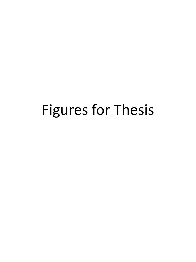# Figures for Thesis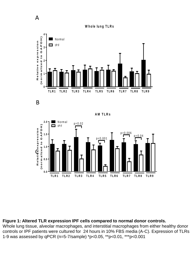



B

A



#### **Figure 1: Altered TLR expression IPF cells compared to normal donor controls.**

Whole lung tissue, alveolar macrophages, and interstitial macrophages from either healthy donor controls or IPF patients were cultured for 24 hours in 10% FBS media (A-C). Expression of TLRs 1-9 was assessed by qPCR (n=5-7/sample) \*p<0.05, \*\*p<0.01, \*\*\*p<0.001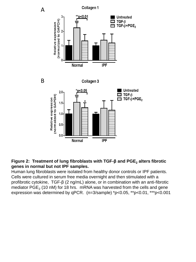

**Figure 2: Treatment of lung fibroblasts with TGF-β and PGE<sup>2</sup> alters fibrotic genes in normal but not IPF samples.** 

Human lung fibroblasts were isolated from healthy donor controls or IPF patients. Cells were cultured in serum free media overnight and then stimulated with a profibrotic cytokine, TGF-β (2 ng/mL) alone, or in combination with an anti-fibrotic mediator PGE<sub>2</sub> (10 nM) for 18 hrs. mRNA was harvested from the cells and gene expression was determined by qPCR. (n=3/sample) \*p<0.05, \*\*p<0.01, \*\*\*p<0.001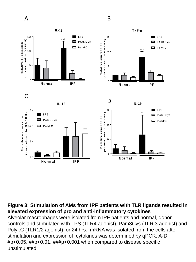

## **Figure 3: Stimulation of AMs from IPF patients with TLR ligands resulted in elevated expression of pro and anti-inflammatory cytokines**

Alveolar macrophages were isolated from IPF patients and normal, donor controls and stimulated with LPS (TLR4 agonist), Pam3Cys (TLR 3 agonist) and PolyI:C (TLR1/2 agonist) for 24 hrs. mRNA was isolated from the cells after stimulation and expression of cytokines was determined by qPCR. A-D. #p<0.05, ##p<0.01, ###p<0.001 when compared to disease specific unstimulated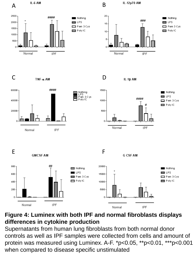

# **Figure 4: Luminex with both IPF and normal fibroblasts displays differences in cytokine production**

Supernatants from human lung fibroblasts from both normal donor controls as well as IPF samples were collected from cells and amount of protein was measured using Luminex. A-F. \*p<0.05, \*\*p<0.01, \*\*\*p<0.001 when compared to disease specific unstimulated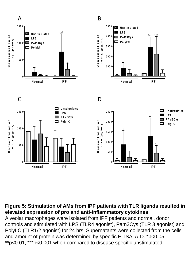

## **Figure 5: Stimulation of AMs from IPF patients with TLR ligands resulted in elevated expression of pro and anti-inflammatory cytokines**

Alveolar macrophages were isolated from IPF patients and normal, donor controls and stimulated with LPS (TLR4 agonist), Pam3Cys (TLR 3 agonist) and PolyI:C (TLR1/2 agonist) for 24 hrs. Supernatants were collected from the cells and amount of protein was determined by specific ELISA. A-D. \*p<0.05, \*\*p<0.01, \*\*\*p<0.001 when compared to disease specific unstimulated